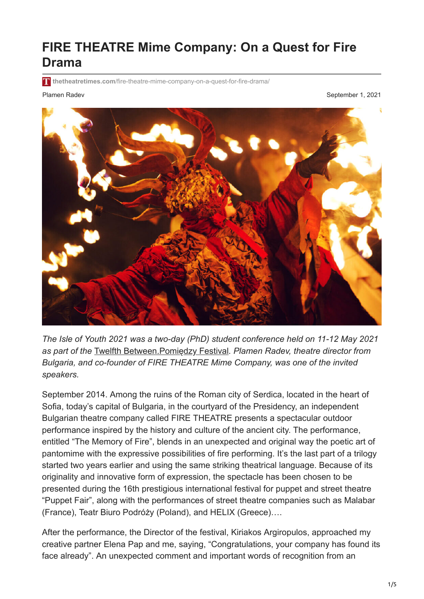## **FIRE THEATRE Mime Company: On a Quest for Fire Drama**

**thetheatretimes.com**[/fire-theatre-mime-company-on-a-quest-for-fire-drama/](https://thetheatretimes.com/fire-theatre-mime-company-on-a-quest-for-fire-drama/)

Plamen Radev **September 1, 2021** September 1, 2021



*The Isle of Youth 2021 was a two-day (PhD) student conference held on 11-12 May 2021 as part of the* [Twelfth Between.Pomiędzy Festival](https://www.between.org.pl/festivals/12-festival)*. Plamen Radev, theatre director from Bulgaria, and co-founder of FIRE THEATRE Mime Company, was one of the invited speakers.*

September 2014. Аmong the ruins of the Roman city of Serdica, located in the heart of Sofia, today's capital of Bulgaria, in the courtyard of the Presidency, an independent Bulgarian theatre company called FIRE THEATRE presents a spectacular outdoor performance inspired by the history and culture of the ancient city. The performance, entitled "The Memory of Fire", blends in an unexpected and original way the poetic art of pantomime with the expressive possibilities of fire performing. It's the last part of a trilogy started two years earlier and using the same striking theatrical language. Because of its originality and innovative form of expression, the spectacle has been chosen to be presented during the 16th prestigious international festival for puppet and street theatre "Puppet Fair", along with the performances of street theatre companies such as Malabar (France), Teatr Biuro Podróży (Poland), and HELIX (Greece)….

After the performance, the Director of the festival, Kiriakos Argiropulos, approached my creative partner Elena Pap and me, saying, "Congratulations, your company has found its face already". An unexpected comment and important words of recognition from an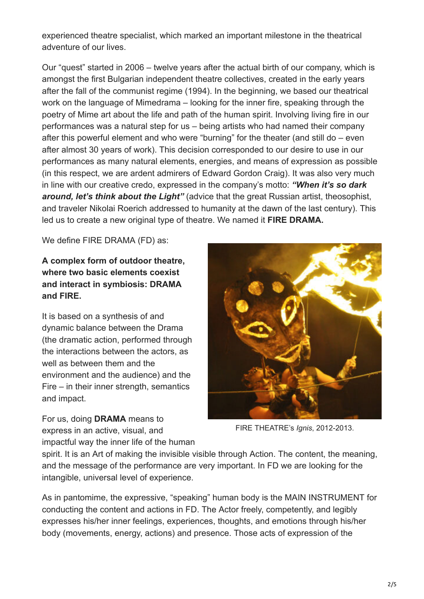experienced theatre specialist, which marked an important milestone in the theatrical adventure of our lives.

Our "quest" started in 2006 – twelve years after the actual birth of our company, which is amongst the first Bulgarian independent theatre collectives, created in the early years after the fall of the communist regime (1994). In the beginning, we based our theatrical work on the language of Mimedrama – looking for the inner fire, speaking through the poetry of Mime art about the life and path of the human spirit. Involving living fire in our performances was a natural step for us – being artists who had named their company after this powerful element and who were "burning" for the theater (and still do – even after almost 30 years of work). This decision corresponded to our desire to use in our performances as many natural elements, energies, and means of expression as possible (in this respect, we are ardent admirers of Edward Gordon Craig). It was also very much in line with our creative credo, expressed in the company's motto: *"When it's so dark around, let's think about the Light"* (advice that the great Russian artist, theosophist, and traveler Nikolai Roerich addressed to humanity at the dawn of the last century). This led us to create a new original type of theatre. We named it **FIRE DRAMA.**

We define FIRE DRAMA (FD) as:

## **A complex form of outdoor theatre, where two basic elements coexist and interact in symbiosis: DRAMA and FIRE.**

It is based on a synthesis of and dynamic balance between the Drama (the dramatic action, performed through the interactions between the actors, as well as between them and the environment and the audience) and the Fire – in their inner strength, semantics and impact.

For us, doing **DRAMA** means to express in an active, visual, and impactful way the inner life of the human



FIRE THEATRE's *Ignis*, 2012-2013.

spirit. It is an Art of making the invisible visible through Action. The content, the meaning, and the message of the performance are very important. In FD we are looking for the intangible, universal level of experience.

As in pantomime, the expressive, "speaking" human body is the MAIN INSTRUMENT for conducting the content and actions in FD. The Actor freely, competently, and legibly expresses his/her inner feelings, experiences, thoughts, and emotions through his/her body (movements, energy, actions) and presence. Those acts of expression of the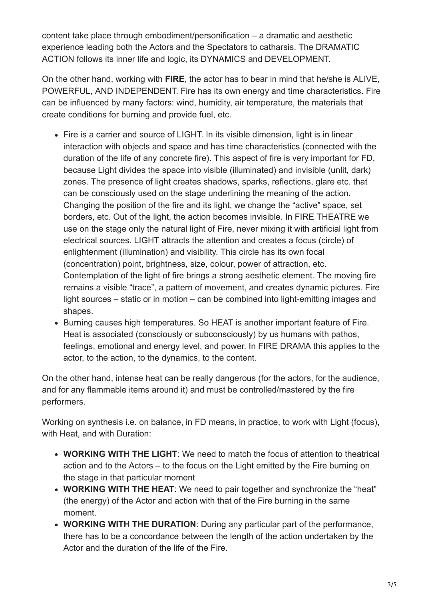content take place through embodiment/personification – a dramatic and aesthetic experience leading both the Actors and the Spectators to catharsis. The DRAMATIC ACTION follows its inner life and logic, its DYNAMICS and DEVELOPMENT.

On the other hand, working with **FIRE**, the actor has to bear in mind that he/she is ALIVE, POWERFUL, AND INDEPENDENT. Fire has its own energy and time characteristics. Fire can be influenced by many factors: wind, humidity, air temperature, the materials that create conditions for burning and provide fuel, etc.

- Fire is a carrier and source of LIGHT. In its visible dimension, light is in linear interaction with objects and space and has time characteristics (connected with the duration of the life of any concrete fire). This aspect of fire is very important for FD, because Light divides the space into visible (illuminated) and invisible (unlit, dark) zones. The presence of light creates shadows, sparks, reflections, glare etc. that can be consciously used on the stage underlining the meaning of the action. Changing the position of the fire and its light, we change the "active" space, set borders, etc. Out of the light, the action becomes invisible. In FIRE THEATRE we use on the stage only the natural light of Fire, never mixing it with artificial light from electrical sources. LIGHT attracts the attention and creates a focus (circle) of enlightenment (illumination) and visibility. This circle has its own focal (concentration) point, brightness, size, colour, power of attraction, etc. Contemplation of the light of fire brings a strong aesthetic element. The moving fire remains a visible "trace", a pattern of movement, and creates dynamic pictures. Fire light sources – static or in motion – can be combined into light-emitting images and shapes.
- Burning causes high temperatures. So HEAT is another important feature of Fire. Heat is associated (consciously or subconsciously) by us humans with pathos, feelings, emotional and energy level, and power. In FIRE DRAMA this applies to the actor, to the action, to the dynamics, to the content.

On the other hand, intense heat can be really dangerous (for the actors, for the audience, and for any flammable items around it) and must be controlled/mastered by the fire performers.

Working on synthesis i.e. on balance, in FD means, in practice, to work with Light (focus), with Heat, and with Duration:

- **WORKING WITH THE LIGHT**: We need to match the focus of attention to theatrical action and to the Actors – to the focus on the Light emitted by the Fire burning on the stage in that particular moment
- **WORKING WITH THE HEAT**: We need to pair together and synchronize the "heat" (the energy) of the Actor and action with that of the Fire burning in the same moment.
- **WORKING WITH THE DURATION**: During any particular part of the performance, there has to be a concordance between the length of the action undertaken by the Actor and the duration of the life of the Fire.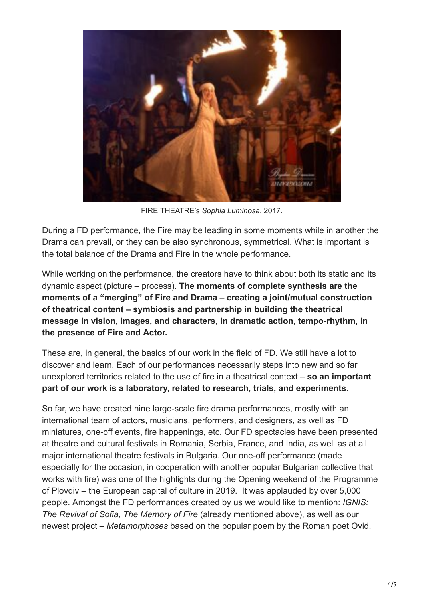

FIRE THEATRE's *Sophia Luminosa*, 2017.

During a FD performance, the Fire may be leading in some moments while in another the Drama can prevail, or they can be also synchronous, symmetrical. What is important is the total balance of the Drama and Fire in the whole performance.

While working on the performance, the creators have to think about both its static and its dynamic aspect (picture – process). **The moments of complete synthesis are the moments of a "merging" of Fire and Drama – creating a joint/mutual construction of theatrical content – symbiosis and partnership in building the theatrical message in vision, images, and characters, in dramatic action, tempo-rhythm, in the presence of Fire and Actor.**

These are, in general, the basics of our work in the field of FD. We still have a lot to discover and learn. Each of our performances necessarily steps into new and so far unexplored territories related to the use of fire in a theatrical context – **so an important part of our work is a laboratory, related to research, trials, and experiments.**

So far, we have created nine large-scale fire drama performances, mostly with an international team of actors, musicians, performers, and designers, as well as FD miniatures, one-off events, fire happenings, etc. Our FD spectacles have been presented at theatre and cultural festivals in Romania, Serbia, France, and India, as well as at all major international theatre festivals in Bulgaria. Our one-off performance (made especially for the occasion, in cooperation with another popular Bulgarian collective that works with fire) was one of the highlights during the Opening weekend of the Programme of Plovdiv – the European capital of culture in 2019. It was applauded by over 5,000 people. Amongst the FD performances created by us we would like to mention: *IGNIS: The Revival of Sofia*, *The Memory of Fire* (already mentioned above), as well as our newest project – *Metamorphoses* based on the popular poem by the Roman poet Ovid.